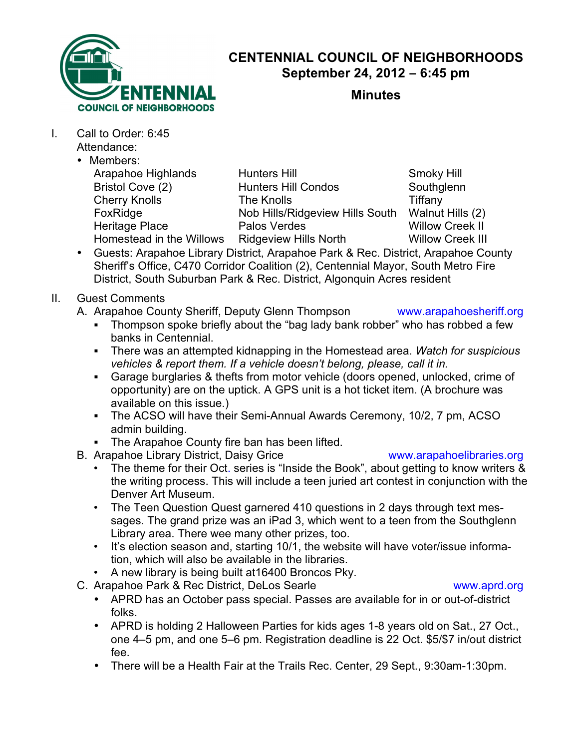

# **CENTENNIAL COUNCIL OF NEIGHBORHOODS September 24, 2012 – 6:45 pm**

**Minutes**

- I. Call to Order: 6:45 Attendance:
	- Members:

| IIGIIINGI 3.             |                                 |                         |
|--------------------------|---------------------------------|-------------------------|
| Arapahoe Highlands       | <b>Hunters Hill</b>             | Smoky Hill              |
| Bristol Cove (2)         | <b>Hunters Hill Condos</b>      | Southglenn              |
| <b>Cherry Knolls</b>     | The Knolls                      | Tiffany                 |
| FoxRidge                 | Nob Hills/Ridgeview Hills South | Walnut Hills (2)        |
| Heritage Place           | Palos Verdes                    | <b>Willow Creek II</b>  |
| Homestead in the Willows | <b>Ridgeview Hills North</b>    | <b>Willow Creek III</b> |
|                          |                                 |                         |

- Guests: Arapahoe Library District, Arapahoe Park & Rec. District, Arapahoe County Sheriff's Office, C470 Corridor Coalition (2), Centennial Mayor, South Metro Fire District, South Suburban Park & Rec. District, Algonquin Acres resident
- II. Guest Comments
	- A. Arapahoe County Sheriff, Deputy Glenn Thompson www.arapahoesheriff.org
		- . Thompson spoke briefly about the "bag lady bank robber" who has robbed a few banks in Centennial.
		- ! There was an attempted kidnapping in the Homestead area. *Watch for suspicious vehicles & report them. If a vehicle doesn't belong, please, call it in.*
		- ! Garage burglaries & thefts from motor vehicle (doors opened, unlocked, crime of opportunity) are on the uptick. A GPS unit is a hot ticket item. (A brochure was available on this issue.)
		- The ACSO will have their Semi-Annual Awards Ceremony, 10/2, 7 pm, ACSO admin building.
		- **The Arapahoe County fire ban has been lifted.**
	- B. Arapahoe Library District, Daisy Grice www.arapahoelibraries.org

- The theme for their Oct. series is "Inside the Book", about getting to know writers & the writing process. This will include a teen juried art contest in conjunction with the Denver Art Museum.
- The Teen Question Quest garnered 410 questions in 2 days through text messages. The grand prize was an iPad 3, which went to a teen from the Southglenn Library area. There wee many other prizes, too.
- It's election season and, starting 10/1, the website will have voter/issue information, which will also be available in the libraries.
- A new library is being built at16400 Broncos Pky.
- C. Arapahoe Park & Rec District, DeLos Searle www.aprd.org
	- APRD has an October pass special. Passes are available for in or out-of-district folks.
	- APRD is holding 2 Halloween Parties for kids ages 1-8 years old on Sat., 27 Oct., one 4–5 pm, and one 5–6 pm. Registration deadline is 22 Oct. \$5/\$7 in/out district fee.
	- There will be a Health Fair at the Trails Rec. Center, 29 Sept., 9:30am-1:30pm.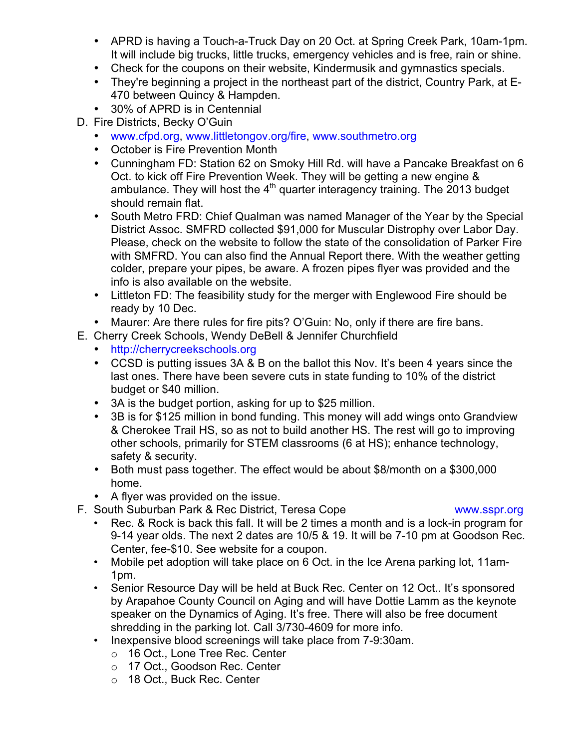- APRD is having a Touch-a-Truck Day on 20 Oct. at Spring Creek Park, 10am-1pm. It will include big trucks, little trucks, emergency vehicles and is free, rain or shine.
- Check for the coupons on their website, Kindermusik and gymnastics specials.
- They're beginning a project in the northeast part of the district, Country Park, at E-470 between Quincy & Hampden.
- 30% of APRD is in Centennial
- D. Fire Districts, Becky O'Guin
	- www.cfpd.org, www.littletongov.org/fire, www.southmetro.org
	- October is Fire Prevention Month
	- Cunningham FD: Station 62 on Smoky Hill Rd. will have a Pancake Breakfast on 6 Oct. to kick off Fire Prevention Week. They will be getting a new engine & ambulance. They will host the  $4<sup>th</sup>$  quarter interagency training. The 2013 budget should remain flat.
	- South Metro FRD: Chief Qualman was named Manager of the Year by the Special District Assoc. SMFRD collected \$91,000 for Muscular Distrophy over Labor Day. Please, check on the website to follow the state of the consolidation of Parker Fire with SMFRD. You can also find the Annual Report there. With the weather getting colder, prepare your pipes, be aware. A frozen pipes flyer was provided and the info is also available on the website.
	- Littleton FD: The feasibility study for the merger with Englewood Fire should be ready by 10 Dec.
	- Maurer: Are there rules for fire pits? O'Guin: No, only if there are fire bans.
- E. Cherry Creek Schools, Wendy DeBell & Jennifer Churchfield
	- http://cherrycreekschools.org
	- CCSD is putting issues 3A & B on the ballot this Nov. It's been 4 years since the last ones. There have been severe cuts in state funding to 10% of the district budget or \$40 million.
	- 3A is the budget portion, asking for up to \$25 million.
	- 3B is for \$125 million in bond funding. This money will add wings onto Grandview & Cherokee Trail HS, so as not to build another HS. The rest will go to improving other schools, primarily for STEM classrooms (6 at HS); enhance technology, safety & security.
	- Both must pass together. The effect would be about \$8/month on a \$300,000 home.
	- A flyer was provided on the issue.
- F. South Suburban Park & Rec District, Teresa Cope www.sspr.org

- Rec. & Rock is back this fall. It will be 2 times a month and is a lock-in program for 9-14 year olds. The next 2 dates are 10/5 & 19. It will be 7-10 pm at Goodson Rec. Center, fee-\$10. See website for a coupon.
- Mobile pet adoption will take place on 6 Oct. in the Ice Arena parking lot, 11am-1pm.
- Senior Resource Day will be held at Buck Rec. Center on 12 Oct.. It's sponsored by Arapahoe County Council on Aging and will have Dottie Lamm as the keynote speaker on the Dynamics of Aging. It's free. There will also be free document shredding in the parking lot. Call 3/730-4609 for more info.
- Inexpensive blood screenings will take place from 7-9:30am.
	- o 16 Oct., Lone Tree Rec. Center
	- o 17 Oct., Goodson Rec. Center
	- o 18 Oct., Buck Rec. Center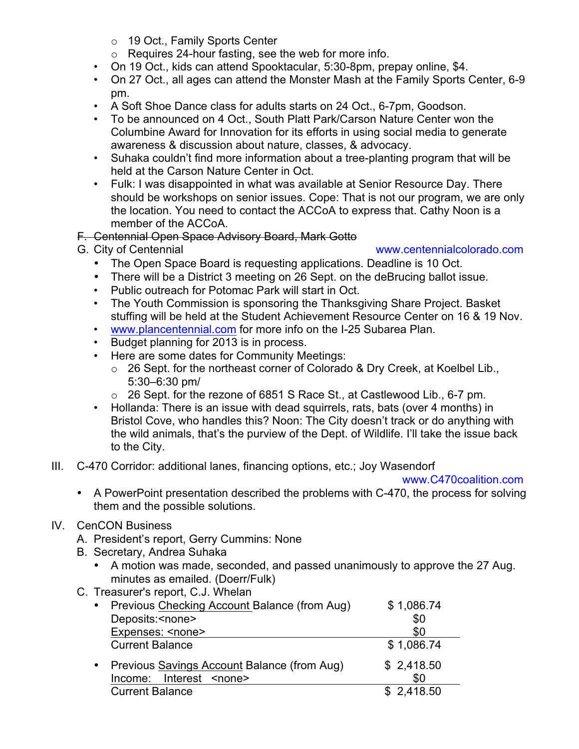- o 19 Oct., Family Sports Center
- o Requires 24-hour fasting, see the web for more info.
- On 19 Oct., kids can attend Spooktacular, 5:30-8pm, prepay online, \$4.
- On 27 Oct., all ages can attend the Monster Mash at the Family Sports Center, 6-9 pm.
- A Soft Shoe Dance class for adults starts on 24 Oct., 6-7pm, Goodson.
- To be announced on 4 Oct., South Platt Park/Carson Nature Center won the Columbine Award for Innovation for its efforts in using social media to generate awareness & discussion about nature, classes, & advocacy.
- Suhaka couldn't find more information about a tree-planting program that will be held at the Carson Nature Center in Oct.
- Fulk: I was disappointed in what was available at Senior Resource Day. There should be workshops on senior issues. Cope: That is not our program, we are only the location. You need to contact the ACCoA to express that. Cathy Noon is a member of the ACCoA.
- F. Centennial Open Space Advisory Board, Mark Gotto
- 

## G. City of Centennial www.centennialcolorado.com

- The Open Space Board is requesting applications. Deadline is 10 Oct.
- There will be a District 3 meeting on 26 Sept. on the deBrucing ballot issue.
- Public outreach for Potomac Park will start in Oct.
- The Youth Commission is sponsoring the Thanksgiving Share Project. Basket stuffing will be held at the Student Achievement Resource Center on 16 & 19 Nov.
- www.plancentennial.com for more info on the I-25 Subarea Plan.
- Budget planning for 2013 is in process.
- Here are some dates for Community Meetings:
	- o 26 Sept. for the northeast corner of Colorado & Dry Creek, at Koelbel Lib., 5:30–6:30 pm/
	- o 26 Sept. for the rezone of 6851 S Race St., at Castlewood Lib., 6-7 pm.
- Hollanda: There is an issue with dead squirrels, rats, bats (over 4 months) in Bristol Cove, who handles this? Noon: The City doesn't track or do anything with the wild animals, that's the purview of the Dept. of Wildlife. I'll take the issue back to the City.
- III. C-470 Corridor: additional lanes, financing options, etc.; Joy Wasendorf

### www.C470coalition.com

- A PowerPoint presentation described the problems with C-470, the process for solving them and the possible solutions.
- IV. CenCON Business
	- A. President's report, Gerry Cummins: None
	- B. Secretary, Andrea Suhaka
		- A motion was made, seconded, and passed unanimously to approve the 27 Aug. minutes as emailed. (Doerr/Fulk)
	- C. Treasurer's report, C.J. Whelan

| Previous Checking Account Balance (from Aug)                                  | \$1,086.74        |
|-------------------------------------------------------------------------------|-------------------|
| Deposits: <none></none>                                                       | \$0               |
| Expenses: <none></none>                                                       | \$0               |
| <b>Current Balance</b>                                                        | \$1,086.74        |
| Previous Savings Account Balance (from Aug)<br>Income: Interest <none></none> | \$2,418.50<br>\$0 |
| <b>Current Balance</b>                                                        | \$2,418.50        |